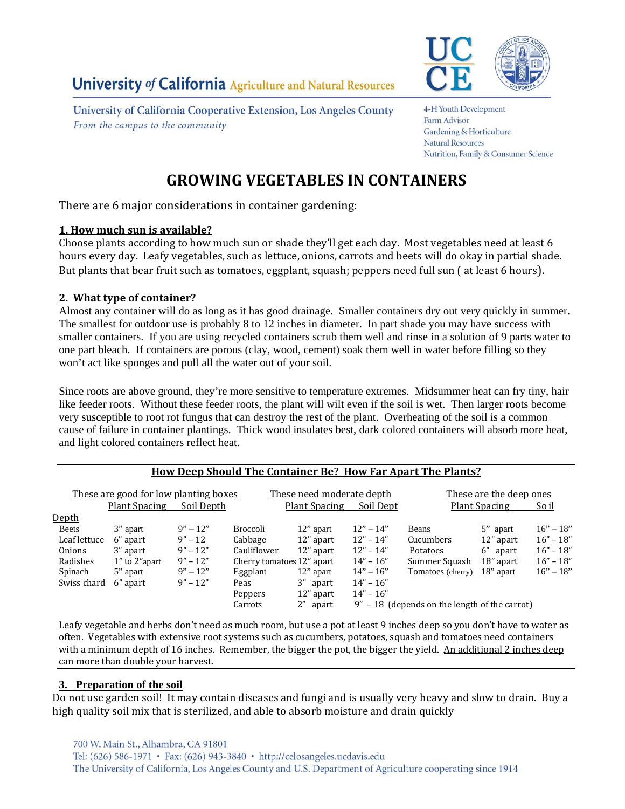University of California Cooperative Extension, Los Angeles County From the campus to the community



4-H Youth Development Farm Advisor Gardening & Horticulture **Natural Resources** Nutrition, Family & Consumer Science

# **GROWING VEGETABLES IN CONTAINERS**

There are 6 major considerations in container gardening:

## **1. How much sun is available?**

Choose plants according to how much sun or shade they'll get each day. Most vegetables need at least 6 hours every day. Leafy vegetables, such as lettuce, onions, carrots and beets will do okay in partial shade. But plants that bear fruit such as tomatoes, eggplant, squash; peppers need full sun (at least 6 hours).

## **2. What type of container?**

Almost any container will do as long as it has good drainage. Smaller containers dry out very quickly in summer. The smallest for outdoor use is probably 8 to 12 inches in diameter. In part shade you may have success with smaller containers. If you are using recycled containers scrub them well and rinse in a solution of 9 parts water to one part bleach. If containers are porous (clay, wood, cement) soak them well in water before filling so they won't act like sponges and pull all the water out of your soil.

Since roots are above ground, they're more sensitive to temperature extremes. Midsummer heat can fry tiny, hair like feeder roots. Without these feeder roots, the plant will wilt even if the soil is wet. Then larger roots become very susceptible to root rot fungus that can destroy the rest of the plant. Overheating of the soil is a common cause of failure in container plantings. Thick wood insulates best, dark colored containers will absorb more heat, and light colored containers reflect heat.

| <b>How Deep Should The Container Be? How Far Apart The Plants?</b>          |              |                 |                                                                |                                                 |                                                          |              |             |
|-----------------------------------------------------------------------------|--------------|-----------------|----------------------------------------------------------------|-------------------------------------------------|----------------------------------------------------------|--------------|-------------|
| <u>These are good for low planting boxes</u><br>Soil Depth<br>Plant Spacing |              |                 | These need moderate depth<br><b>Plant Spacing</b><br>Soil Dept |                                                 | These are the deep ones<br><b>Plant Spacing</b><br>So il |              |             |
|                                                                             |              |                 |                                                                |                                                 |                                                          |              |             |
| 3" apart                                                                    | $9'' - 12''$ | <b>Broccoli</b> | 12" apart                                                      | $12" - 14"$                                     | <b>Beans</b>                                             | 5" apart     | $16" - 18"$ |
| Leaf lettuce<br>6" apart                                                    | $9'' - 12$   | Cabbage         | 12" apart                                                      | $12" - 14"$                                     | Cucumbers                                                | 12" apart    | $16" - 18"$ |
| 3" apart                                                                    | $9'' - 12''$ | Cauliflower     | 12" apart                                                      | $12" - 14"$                                     | Potatoes                                                 | 6" apart     | $16" - 18"$ |
| 1" to 2" apart                                                              | $9'' - 12''$ |                 |                                                                | $14" - 16"$                                     | Summer Squash                                            | 18" apart    | $16" - 18"$ |
| 5" apart                                                                    | $9'' - 12''$ | Eggplant        | $12$ " apart                                                   | $14" - 16"$                                     | Tomatoes (cherry)                                        | $18$ " apart | $16" - 18"$ |
| Swiss chard<br>6" apart                                                     | $9'' - 12''$ | Peas            | 3" apart                                                       | $14" - 16"$                                     |                                                          |              |             |
|                                                                             |              | Peppers         | 12" apart                                                      | $14" - 16"$                                     |                                                          |              |             |
|                                                                             |              | Carrots         | 2" apart                                                       | $9" - 18$ (depends on the length of the carrot) |                                                          |              |             |
|                                                                             |              |                 |                                                                | Cherry tomatoes 12" apart                       |                                                          |              |             |

Leafy vegetable and herbs don't need as much room, but use a pot at least 9 inches deep so you don't have to water as often. Vegetables with extensive root systems such as cucumbers, potatoes, squash and tomatoes need containers with a minimum depth of 16 inches. Remember, the bigger the pot, the bigger the yield. An additional 2 inches deep can more than double your harvest.

# **3. Preparation of the soil**

Do not use garden soil! It may contain diseases and fungi and is usually very heavy and slow to drain. Buy a high quality soil mix that is sterilized, and able to absorb moisture and drain quickly